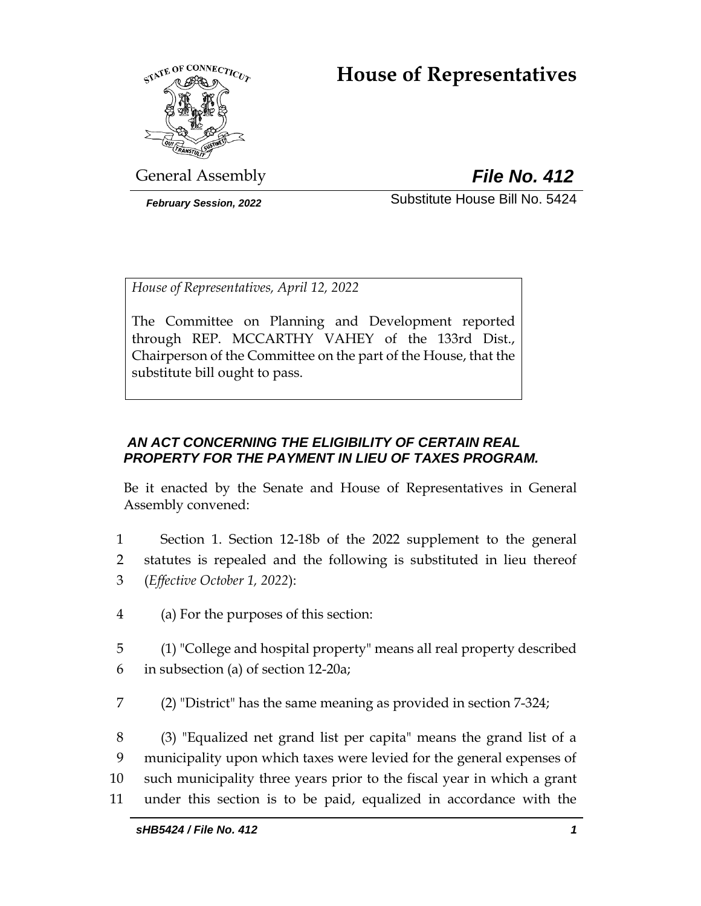# **House of Representatives**



General Assembly *File No. 412*

*February Session, 2022* Substitute House Bill No. 5424

*House of Representatives, April 12, 2022*

The Committee on Planning and Development reported through REP. MCCARTHY VAHEY of the 133rd Dist., Chairperson of the Committee on the part of the House, that the substitute bill ought to pass.

## *AN ACT CONCERNING THE ELIGIBILITY OF CERTAIN REAL PROPERTY FOR THE PAYMENT IN LIEU OF TAXES PROGRAM.*

Be it enacted by the Senate and House of Representatives in General Assembly convened:

- 1 Section 1. Section 12-18b of the 2022 supplement to the general 2 statutes is repealed and the following is substituted in lieu thereof 3 (*Effective October 1, 2022*):
- 4 (a) For the purposes of this section:

5 (1) "College and hospital property" means all real property described 6 in subsection (a) of section 12-20a;

7 (2) "District" has the same meaning as provided in section 7-324;

 (3) "Equalized net grand list per capita" means the grand list of a municipality upon which taxes were levied for the general expenses of such municipality three years prior to the fiscal year in which a grant under this section is to be paid, equalized in accordance with the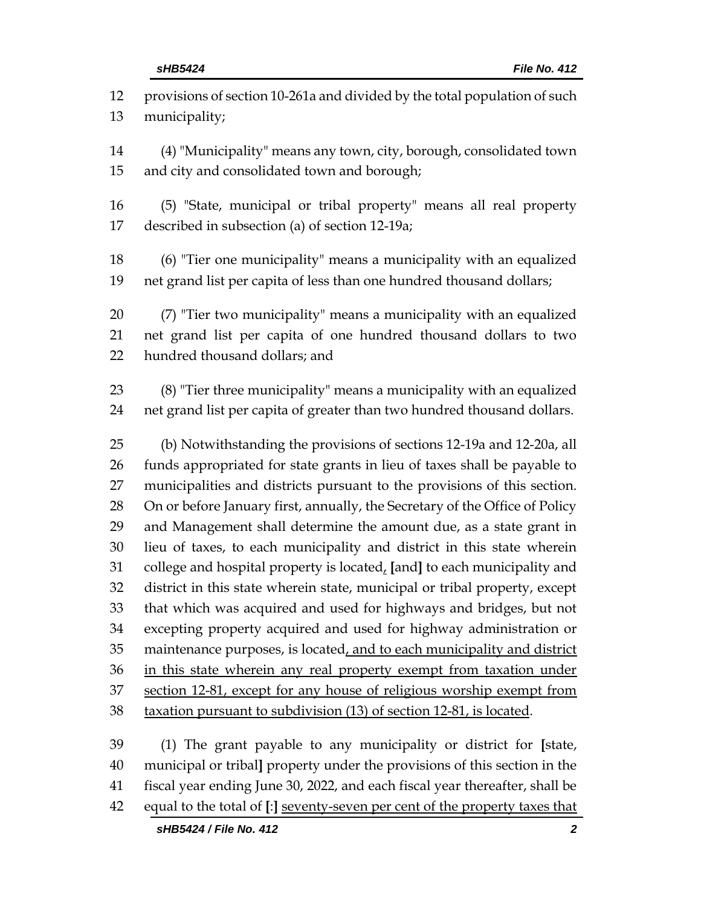provisions of section 10-261a and divided by the total population of such municipality; (4) "Municipality" means any town, city, borough, consolidated town and city and consolidated town and borough; (5) "State, municipal or tribal property" means all real property described in subsection (a) of section 12-19a; (6) "Tier one municipality" means a municipality with an equalized net grand list per capita of less than one hundred thousand dollars; (7) "Tier two municipality" means a municipality with an equalized net grand list per capita of one hundred thousand dollars to two hundred thousand dollars; and (8) "Tier three municipality" means a municipality with an equalized net grand list per capita of greater than two hundred thousand dollars. (b) Notwithstanding the provisions of sections 12-19a and 12-20a, all funds appropriated for state grants in lieu of taxes shall be payable to municipalities and districts pursuant to the provisions of this section. On or before January first, annually, the Secretary of the Office of Policy and Management shall determine the amount due, as a state grant in lieu of taxes, to each municipality and district in this state wherein college and hospital property is located, **[**and**]** to each municipality and district in this state wherein state, municipal or tribal property, except that which was acquired and used for highways and bridges, but not excepting property acquired and used for highway administration or 35 maintenance purposes, is located, and to each municipality and district 36 in this state wherein any real property exempt from taxation under 37 section 12-81, except for any house of religious worship exempt from taxation pursuant to subdivision (13) of section 12-81, is located. (1) The grant payable to any municipality or district for **[**state, municipal or tribal**]** property under the provisions of this section in the fiscal year ending June 30, 2022, and each fiscal year thereafter, shall be equal to the total of **[**:**]** seventy-seven per cent of the property taxes that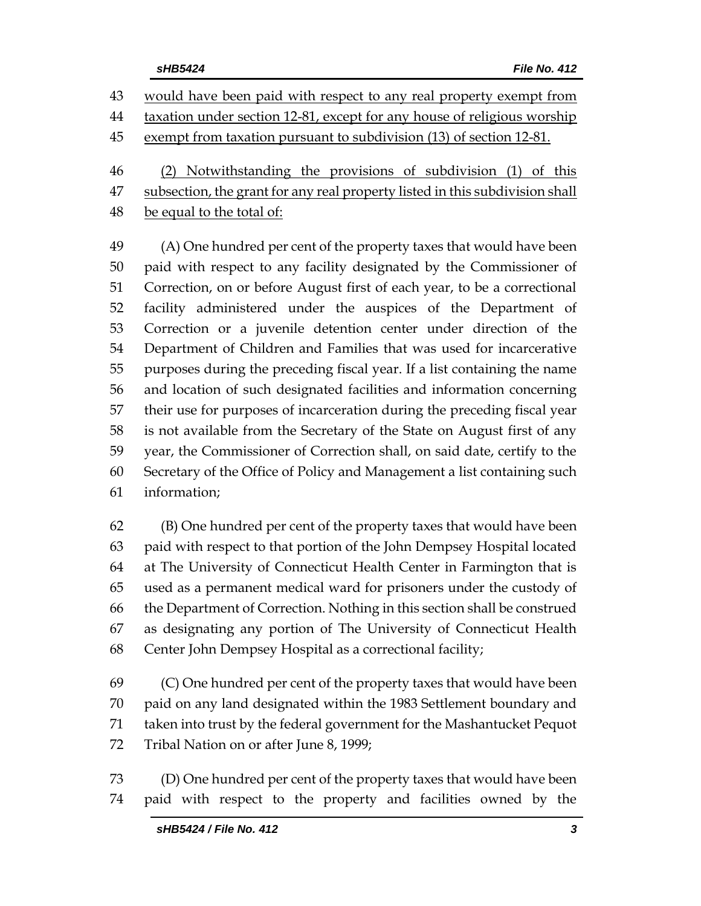would have been paid with respect to any real property exempt from taxation under section 12-81, except for any house of religious worship

exempt from taxation pursuant to subdivision (13) of section 12-81.

(2) Notwithstanding the provisions of subdivision (1) of this

47 subsection, the grant for any real property listed in this subdivision shall

48 be equal to the total of:

 (A) One hundred per cent of the property taxes that would have been paid with respect to any facility designated by the Commissioner of Correction, on or before August first of each year, to be a correctional facility administered under the auspices of the Department of Correction or a juvenile detention center under direction of the Department of Children and Families that was used for incarcerative purposes during the preceding fiscal year. If a list containing the name and location of such designated facilities and information concerning their use for purposes of incarceration during the preceding fiscal year is not available from the Secretary of the State on August first of any year, the Commissioner of Correction shall, on said date, certify to the Secretary of the Office of Policy and Management a list containing such information;

 (B) One hundred per cent of the property taxes that would have been paid with respect to that portion of the John Dempsey Hospital located at The University of Connecticut Health Center in Farmington that is used as a permanent medical ward for prisoners under the custody of the Department of Correction. Nothing in this section shall be construed as designating any portion of The University of Connecticut Health Center John Dempsey Hospital as a correctional facility;

 (C) One hundred per cent of the property taxes that would have been paid on any land designated within the 1983 Settlement boundary and taken into trust by the federal government for the Mashantucket Pequot Tribal Nation on or after June 8, 1999;

 (D) One hundred per cent of the property taxes that would have been paid with respect to the property and facilities owned by the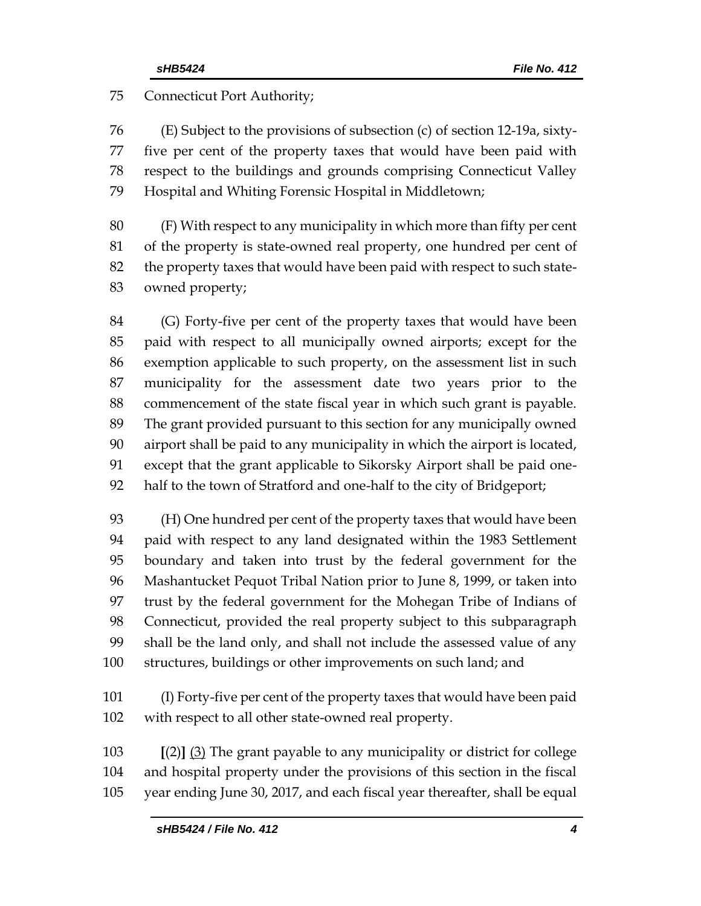#### Connecticut Port Authority;

 (E) Subject to the provisions of subsection (c) of section 12-19a, sixty- five per cent of the property taxes that would have been paid with respect to the buildings and grounds comprising Connecticut Valley Hospital and Whiting Forensic Hospital in Middletown;

 (F) With respect to any municipality in which more than fifty per cent of the property is state-owned real property, one hundred per cent of the property taxes that would have been paid with respect to such state-owned property;

 (G) Forty-five per cent of the property taxes that would have been paid with respect to all municipally owned airports; except for the exemption applicable to such property, on the assessment list in such municipality for the assessment date two years prior to the commencement of the state fiscal year in which such grant is payable. The grant provided pursuant to this section for any municipally owned airport shall be paid to any municipality in which the airport is located, except that the grant applicable to Sikorsky Airport shall be paid one-half to the town of Stratford and one-half to the city of Bridgeport;

 (H) One hundred per cent of the property taxes that would have been paid with respect to any land designated within the 1983 Settlement boundary and taken into trust by the federal government for the Mashantucket Pequot Tribal Nation prior to June 8, 1999, or taken into trust by the federal government for the Mohegan Tribe of Indians of Connecticut, provided the real property subject to this subparagraph shall be the land only, and shall not include the assessed value of any structures, buildings or other improvements on such land; and

 (I) Forty-five per cent of the property taxes that would have been paid with respect to all other state-owned real property.

 **[**(2)**]** (3) The grant payable to any municipality or district for college and hospital property under the provisions of this section in the fiscal year ending June 30, 2017, and each fiscal year thereafter, shall be equal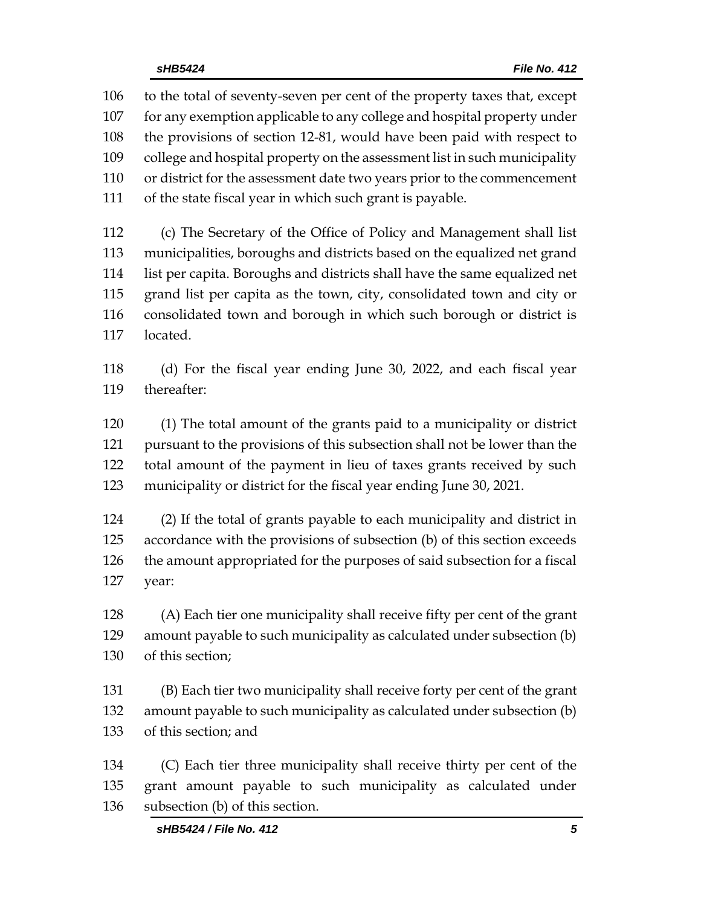to the total of seventy-seven per cent of the property taxes that, except for any exemption applicable to any college and hospital property under the provisions of section 12-81, would have been paid with respect to college and hospital property on the assessment list in such municipality or district for the assessment date two years prior to the commencement of the state fiscal year in which such grant is payable.

 (c) The Secretary of the Office of Policy and Management shall list municipalities, boroughs and districts based on the equalized net grand list per capita. Boroughs and districts shall have the same equalized net grand list per capita as the town, city, consolidated town and city or consolidated town and borough in which such borough or district is located.

 (d) For the fiscal year ending June 30, 2022, and each fiscal year thereafter:

 (1) The total amount of the grants paid to a municipality or district pursuant to the provisions of this subsection shall not be lower than the total amount of the payment in lieu of taxes grants received by such municipality or district for the fiscal year ending June 30, 2021.

 (2) If the total of grants payable to each municipality and district in accordance with the provisions of subsection (b) of this section exceeds the amount appropriated for the purposes of said subsection for a fiscal year:

 (A) Each tier one municipality shall receive fifty per cent of the grant amount payable to such municipality as calculated under subsection (b) of this section;

 (B) Each tier two municipality shall receive forty per cent of the grant amount payable to such municipality as calculated under subsection (b) of this section; and

 (C) Each tier three municipality shall receive thirty per cent of the grant amount payable to such municipality as calculated under subsection (b) of this section.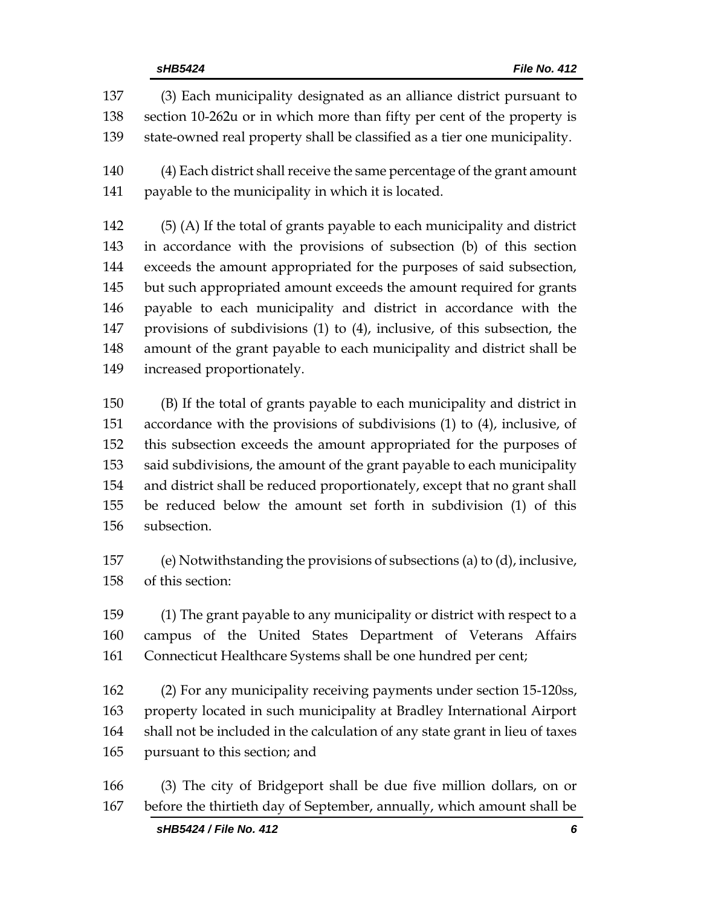(3) Each municipality designated as an alliance district pursuant to section 10-262u or in which more than fifty per cent of the property is state-owned real property shall be classified as a tier one municipality. (4) Each district shall receive the same percentage of the grant amount payable to the municipality in which it is located. (5) (A) If the total of grants payable to each municipality and district in accordance with the provisions of subsection (b) of this section exceeds the amount appropriated for the purposes of said subsection,

 but such appropriated amount exceeds the amount required for grants payable to each municipality and district in accordance with the provisions of subdivisions (1) to (4), inclusive, of this subsection, the amount of the grant payable to each municipality and district shall be increased proportionately.

 (B) If the total of grants payable to each municipality and district in accordance with the provisions of subdivisions (1) to (4), inclusive, of this subsection exceeds the amount appropriated for the purposes of said subdivisions, the amount of the grant payable to each municipality and district shall be reduced proportionately, except that no grant shall be reduced below the amount set forth in subdivision (1) of this subsection.

 (e) Notwithstanding the provisions of subsections (a) to (d), inclusive, of this section:

 (1) The grant payable to any municipality or district with respect to a campus of the United States Department of Veterans Affairs Connecticut Healthcare Systems shall be one hundred per cent;

 (2) For any municipality receiving payments under section 15-120ss, property located in such municipality at Bradley International Airport shall not be included in the calculation of any state grant in lieu of taxes pursuant to this section; and

 (3) The city of Bridgeport shall be due five million dollars, on or before the thirtieth day of September, annually, which amount shall be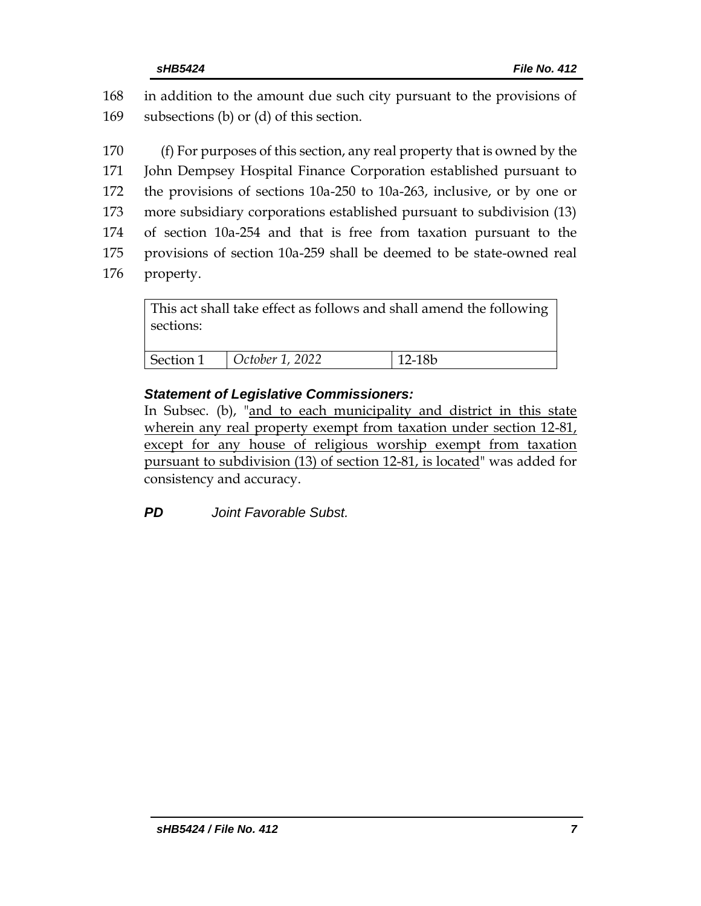| 168 in addition to the amount due such city pursuant to the provisions of |
|---------------------------------------------------------------------------|
| 169 subsections (b) or (d) of this section.                               |

 (f) For purposes of this section, any real property that is owned by the John Dempsey Hospital Finance Corporation established pursuant to the provisions of sections 10a-250 to 10a-263, inclusive, or by one or more subsidiary corporations established pursuant to subdivision (13) of section 10a-254 and that is free from taxation pursuant to the provisions of section 10a-259 shall be deemed to be state-owned real property.

This act shall take effect as follows and shall amend the following sections: Section 1 *October 1, 2022* 12-18b

#### *Statement of Legislative Commissioners:*

In Subsec. (b), "and to each municipality and district in this state wherein any real property exempt from taxation under section 12-81, except for any house of religious worship exempt from taxation pursuant to subdivision (13) of section 12-81, is located" was added for consistency and accuracy.

*PD Joint Favorable Subst.*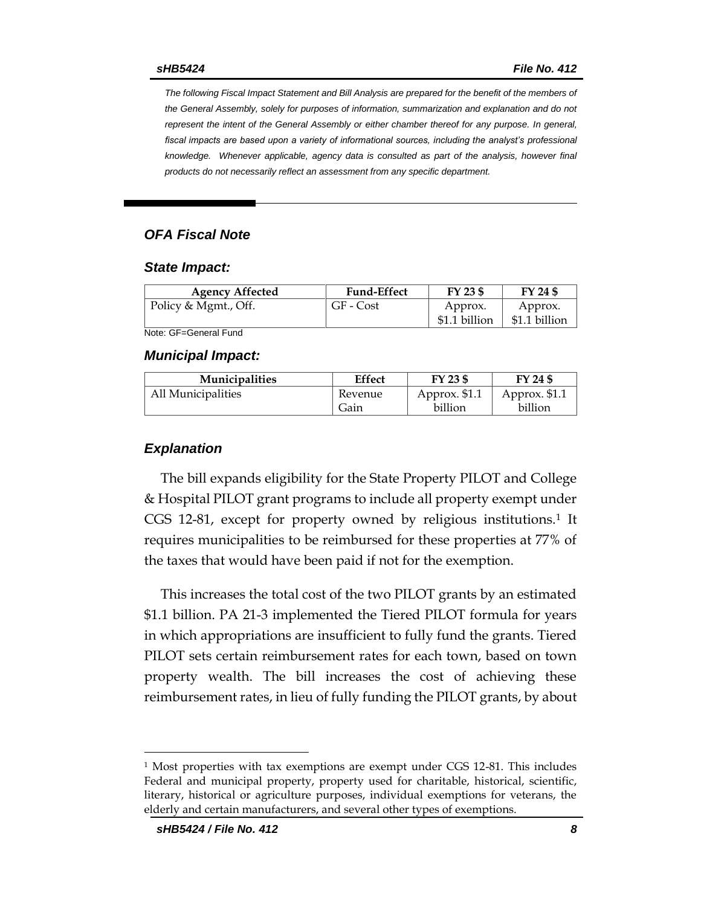*The following Fiscal Impact Statement and Bill Analysis are prepared for the benefit of the members of the General Assembly, solely for purposes of information, summarization and explanation and do not represent the intent of the General Assembly or either chamber thereof for any purpose. In general,*  fiscal impacts are based upon a variety of informational sources, including the analyst's professional *knowledge. Whenever applicable, agency data is consulted as part of the analysis, however final products do not necessarily reflect an assessment from any specific department.*

#### *OFA Fiscal Note*

#### *State Impact:*

| <b>Agency Affected</b> | <b>Fund-Effect</b> | $FY$ 23 \$               | FY 24 \$                 |
|------------------------|--------------------|--------------------------|--------------------------|
| Policy & Mgmt., Off.   | GF - Cost          | Approx.<br>\$1.1 billion | Approx.<br>\$1.1 billion |

Note: GF=General Fund

#### *Municipal Impact:*

| <b>Municipalities</b> | Effect  | FY 23 \$      | FY 24 \$      |
|-----------------------|---------|---------------|---------------|
| All Municipalities    | Revenue | Approx. \$1.1 | Approx. \$1.1 |
|                       | Gain    | billion       | billion       |

#### *Explanation*

The bill expands eligibility for the State Property PILOT and College & Hospital PILOT grant programs to include all property exempt under CGS 12-81, except for property owned by religious institutions.<sup>1</sup> It requires municipalities to be reimbursed for these properties at 77% of the taxes that would have been paid if not for the exemption.

This increases the total cost of the two PILOT grants by an estimated \$1.1 billion. PA 21-3 implemented the Tiered PILOT formula for years in which appropriations are insufficient to fully fund the grants. Tiered PILOT sets certain reimbursement rates for each town, based on town property wealth. The bill increases the cost of achieving these reimbursement rates, in lieu of fully funding the PILOT grants, by about

<sup>1</sup> Most properties with tax exemptions are exempt under CGS 12-81. This includes Federal and municipal property, property used for charitable, historical, scientific, literary, historical or agriculture purposes, individual exemptions for veterans, the elderly and certain manufacturers, and several other types of exemptions.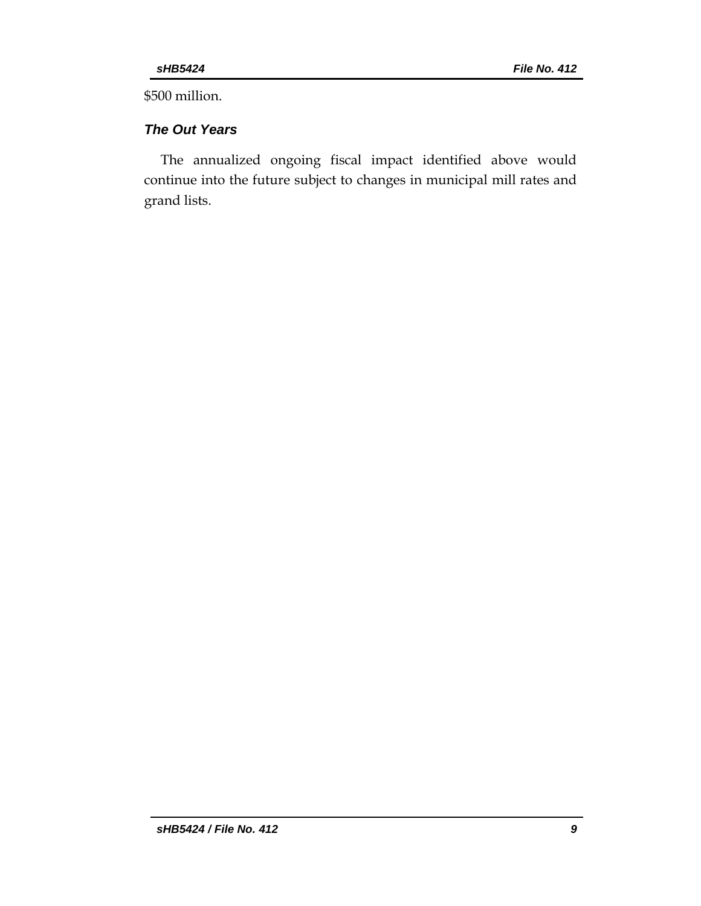\$500 million.

## *The Out Years*

The annualized ongoing fiscal impact identified above would continue into the future subject to changes in municipal mill rates and grand lists.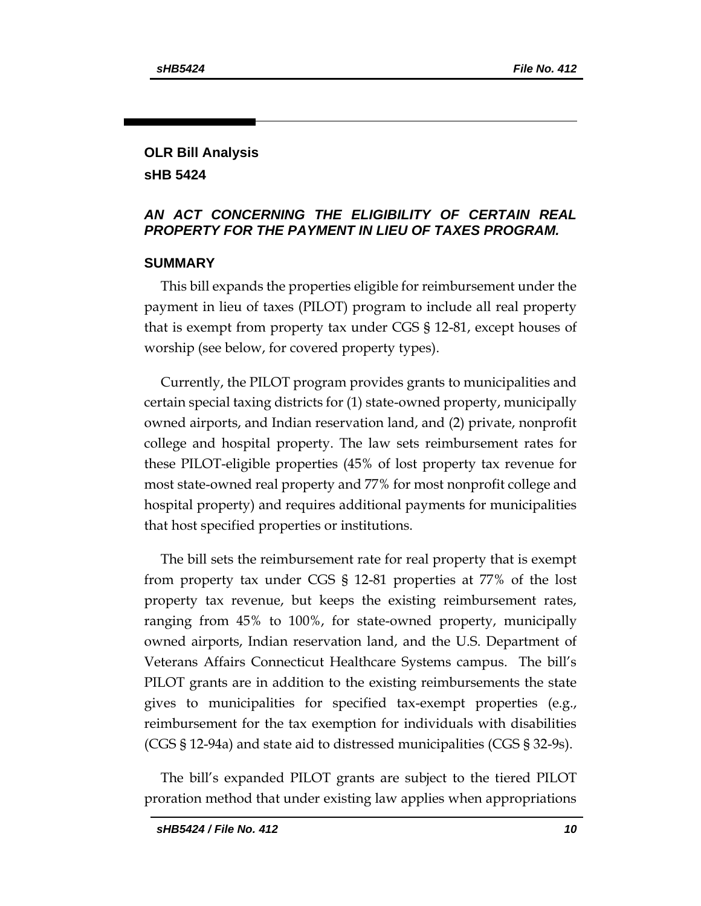## **OLR Bill Analysis sHB 5424**

### *AN ACT CONCERNING THE ELIGIBILITY OF CERTAIN REAL PROPERTY FOR THE PAYMENT IN LIEU OF TAXES PROGRAM.*

#### **SUMMARY**

This bill expands the properties eligible for reimbursement under the payment in lieu of taxes (PILOT) program to include all real property that is exempt from property tax under CGS § 12-81, except houses of worship (see below, for covered property types).

Currently, the PILOT program provides grants to municipalities and certain special taxing districts for (1) state-owned property, municipally owned airports, and Indian reservation land, and (2) private, nonprofit college and hospital property. The law sets reimbursement rates for these PILOT-eligible properties (45% of lost property tax revenue for most state-owned real property and 77% for most nonprofit college and hospital property) and requires additional payments for municipalities that host specified properties or institutions.

The bill sets the reimbursement rate for real property that is exempt from property tax under CGS § 12-81 properties at 77% of the lost property tax revenue, but keeps the existing reimbursement rates, ranging from 45% to 100%, for state-owned property, municipally owned airports, Indian reservation land, and the U.S. Department of Veterans Affairs Connecticut Healthcare Systems campus. The bill's PILOT grants are in addition to the existing reimbursements the state gives to municipalities for specified tax-exempt properties (e.g., reimbursement for the tax exemption for individuals with disabilities (CGS § 12-94a) and state aid to distressed municipalities (CGS § 32-9s).

The bill's expanded PILOT grants are subject to the tiered PILOT proration method that under existing law applies when appropriations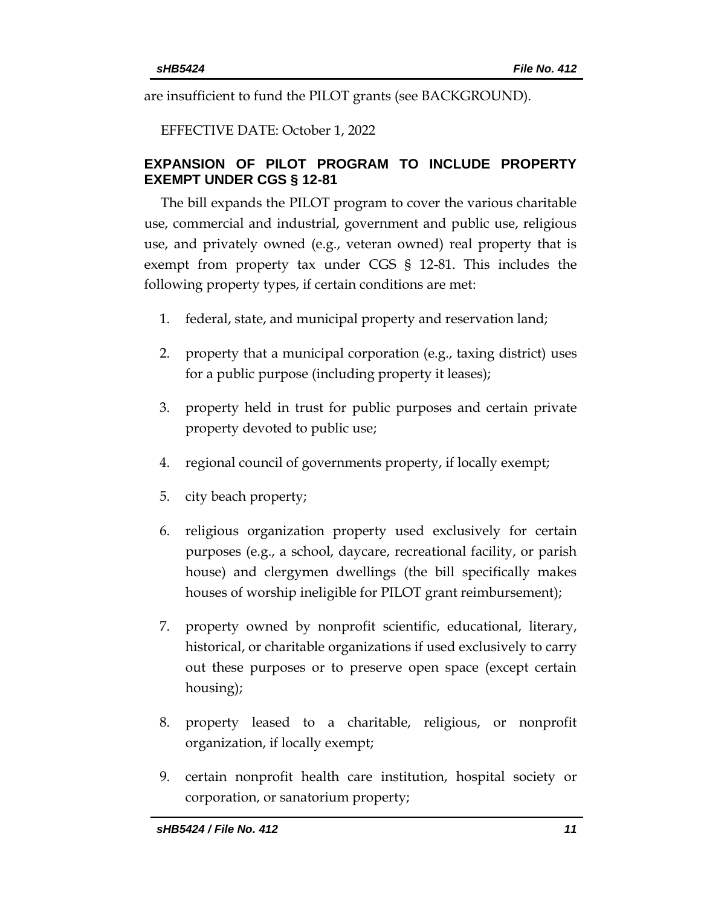are insufficient to fund the PILOT grants (see BACKGROUND).

EFFECTIVE DATE: October 1, 2022

### **EXPANSION OF PILOT PROGRAM TO INCLUDE PROPERTY EXEMPT UNDER CGS § 12-81**

The bill expands the PILOT program to cover the various charitable use, commercial and industrial, government and public use, religious use, and privately owned (e.g., veteran owned) real property that is exempt from property tax under CGS § 12-81. This includes the following property types, if certain conditions are met:

- 1. federal, state, and municipal property and reservation land;
- 2. property that a municipal corporation (e.g., taxing district) uses for a public purpose (including property it leases);
- 3. property held in trust for public purposes and certain private property devoted to public use;
- 4. regional council of governments property, if locally exempt;
- 5. city beach property;
- 6. religious organization property used exclusively for certain purposes (e.g., a school, daycare, recreational facility, or parish house) and clergymen dwellings (the bill specifically makes houses of worship ineligible for PILOT grant reimbursement);
- 7. property owned by nonprofit scientific, educational, literary, historical, or charitable organizations if used exclusively to carry out these purposes or to preserve open space (except certain housing);
- 8. property leased to a charitable, religious, or nonprofit organization, if locally exempt;
- 9. certain nonprofit health care institution, hospital society or corporation, or sanatorium property;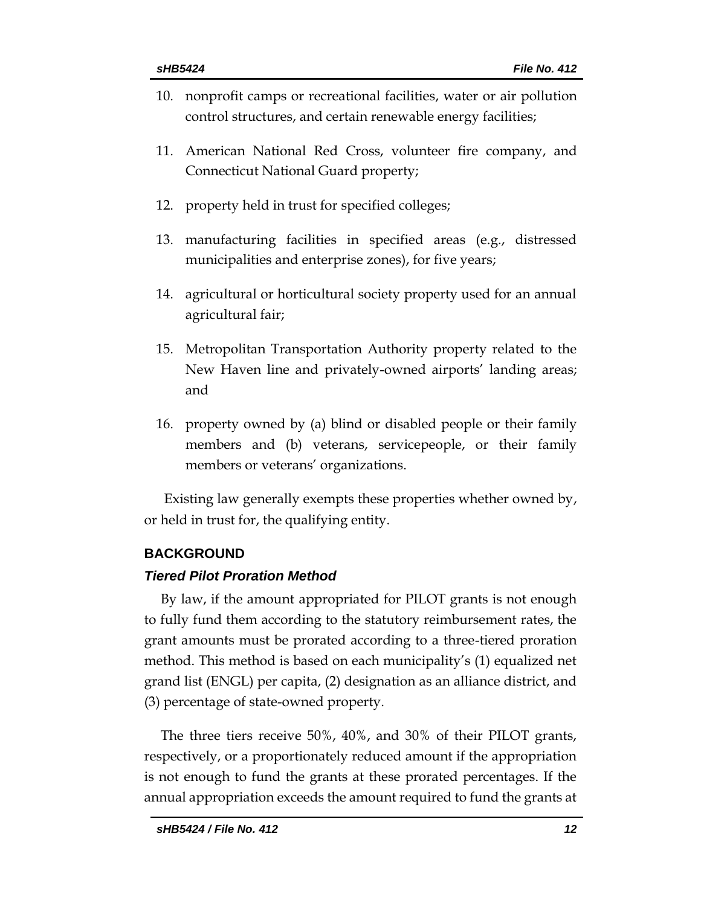- 10. nonprofit camps or recreational facilities, water or air pollution control structures, and certain renewable energy facilities;
- 11. American National Red Cross, volunteer fire company, and Connecticut National Guard property;
- 12. property held in trust for specified colleges;
- 13. manufacturing facilities in specified areas (e.g., distressed municipalities and enterprise zones), for five years;
- 14. agricultural or horticultural society property used for an annual agricultural fair;
- 15. Metropolitan Transportation Authority property related to the New Haven line and privately-owned airports' landing areas; and
- 16. property owned by (a) blind or disabled people or their family members and (b) veterans, servicepeople, or their family members or veterans' organizations.

Existing law generally exempts these properties whether owned by, or held in trust for, the qualifying entity.

#### **BACKGROUND**

#### *Tiered Pilot Proration Method*

By law, if the amount appropriated for PILOT grants is not enough to fully fund them according to the statutory reimbursement rates, the grant amounts must be prorated according to a three-tiered proration method. This method is based on each municipality's (1) equalized net grand list (ENGL) per capita, (2) designation as an alliance district, and (3) percentage of state-owned property.

The three tiers receive 50%, 40%, and 30% of their PILOT grants, respectively, or a proportionately reduced amount if the appropriation is not enough to fund the grants at these prorated percentages. If the annual appropriation exceeds the amount required to fund the grants at